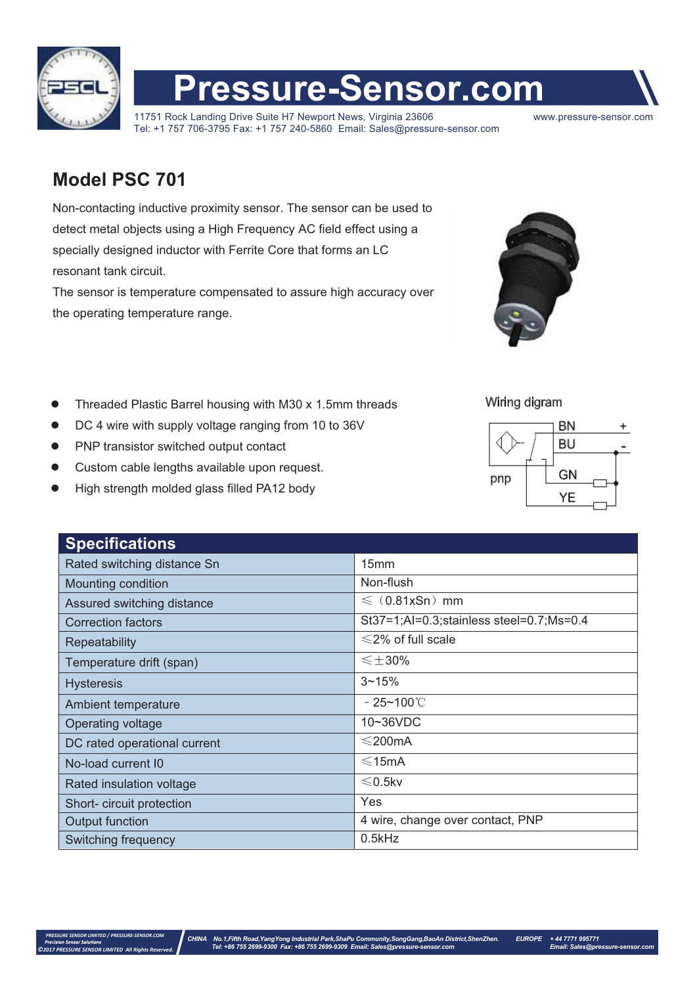

## **Pressure-Sensor.com**

11751 Rock Landing Drive Suite H7 Newport News, Virginia 23606 www.pressure-sensor.com Tel: +1 757 706-3795 Fax: +1 757 240-5860 Email: Sales@pressure-sensor.com

## **Model PSC 701**

Non-contacting inductive proximity sensor. The sensor can be used to detect metal objects using a High Frequency AC field effect using a specially designed inductor with Ferrite Core that forms an LC resonant tank circuit.

The sensor is temperature compensated to assure high accuracy over the operating temperature range.



Wiring digram



- $\bullet$ Threaded Plastic Barrel housing with M30 x 1.5mm threads
- $\bullet$ DC 4 wire with supply voltage ranging from 10 to 36V
- -PNP transistor switched output contact
- $\bullet$ Custom cable lengths available upon request.
- $\bullet$ High strength molded glass filled PA12 body

| <b>Specifications</b>        |                                          |
|------------------------------|------------------------------------------|
| Rated switching distance Sn  | 15mm                                     |
| Mounting condition           | Non-flush                                |
| Assured switching distance   | $\leq$ (0.81xSn) mm                      |
| <b>Correction factors</b>    | St37=1;Al=0.3;stainless steel=0.7;Ms=0.4 |
| Repeatability                | $\leq$ 2% of full scale                  |
| Temperature drift (span)     | $\leq$ $\pm$ 30%                         |
| <b>Hysteresis</b>            | $3 - 15%$                                |
| Ambient temperature          | - 25~100℃                                |
| Operating voltage            | 10~36VDC                                 |
| DC rated operational current | $\leq$ 200mA                             |
| No-load current I0           | ≤15mA                                    |
| Rated insulation voltage     | $≤$ 0.5kv                                |
| Short- circuit protection    | Yes                                      |
| Output function              | 4 wire, change over contact, PNP         |
| Switching frequency          | 0.5kHz                                   |